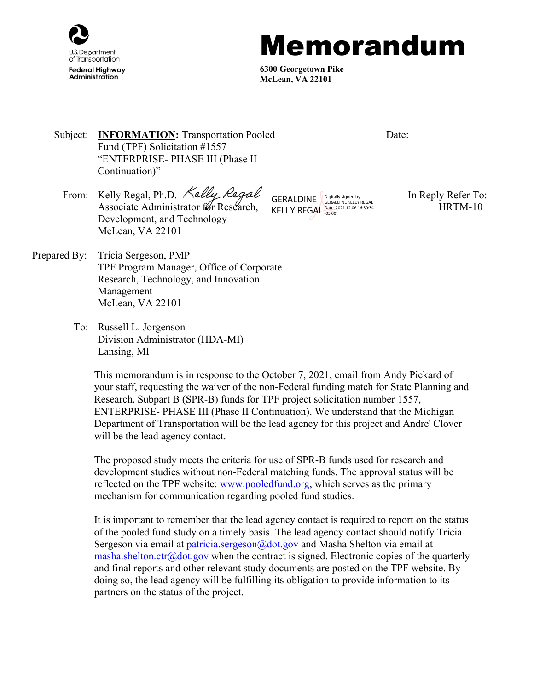

## Memorandum

**6300 Georgetown Pike McLean, VA 22101**

Date:

- Subject: **INFORMATION:** Transportation Pooled Fund (TPF) Solicitation #1557 "ENTERPRISE- PHASE III (Phase II Continuation)"
	- From: Kelly Regal, Ph.D. Kelly Regal GERAL DINE Digitally signed by In Reply Refer To: Associate Administrator for Research, Development, and Technology McLean, VA 22101

KELLY REGAL **Date: 2021.12.06 16:30:34** HRTM-10 GERALDINE **SUBMAN SIGNAL S** GERALDINE KELLY REGAL

- Prepared By: Tricia Sergeson, PMP TPF Program Manager, Office of Corporate Research, Technology, and Innovation Management McLean, VA 22101
	- To: Russell L. Jorgenson Division Administrator (HDA-MI) Lansing, MI

This memorandum is in response to the October 7, 2021, email from Andy Pickard of your staff, requesting the waiver of the non-Federal funding match for State Planning and Research, Subpart B (SPR-B) funds for TPF project solicitation number 1557, ENTERPRISE- PHASE III (Phase II Continuation). We understand that the Michigan Department of Transportation will be the lead agency for this project and Andre' Clover will be the lead agency contact.

The proposed study meets the criteria for use of SPR-B funds used for research and development studies without non-Federal matching funds. The approval status will be reflected on the TPF website: [www.pooledfund.org,](http://www.pooledfund.org/) which serves as the primary mechanism for communication regarding pooled fund studies.

It is important to remember that the lead agency contact is required to report on the status of the pooled fund study on a timely basis. The lead agency contact should notify Tricia Sergeson via email at [patricia.sergeson@dot.gov](mailto:patricia.sergeson@dot.gov) and Masha Shelton via email at [masha.shelton.ctr@dot.gov](mailto:masha.shelton.ctr@dot.gov) when the contract is signed. Electronic copies of the quarterly and final reports and other relevant study documents are posted on the TPF website. By doing so, the lead agency will be fulfilling its obligation to provide information to its partners on the status of the project.